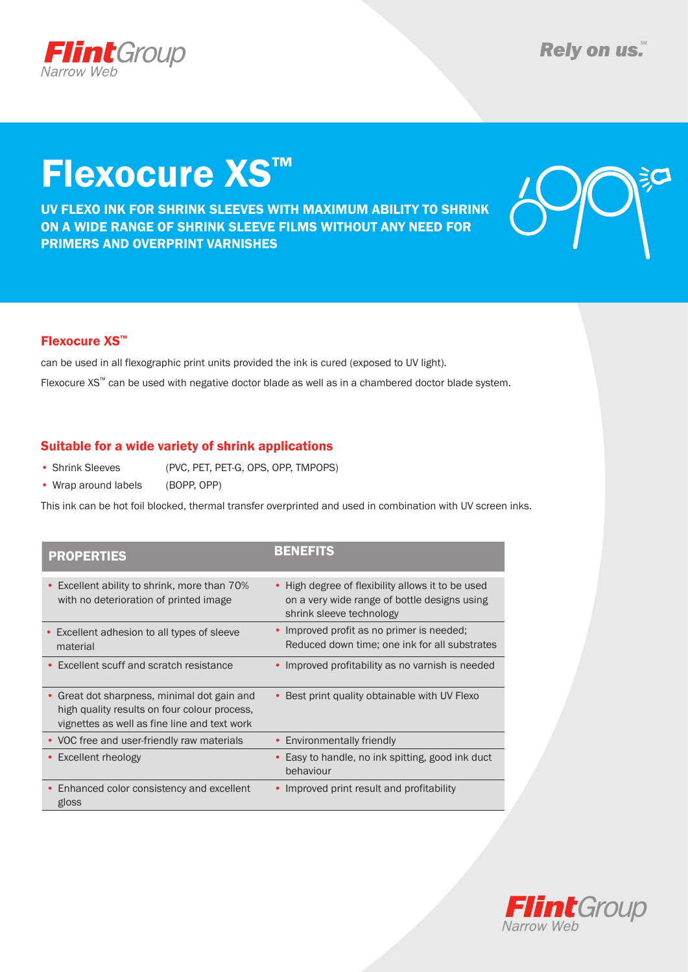

# Flexocure XS™

UV FLEXO INK FOR SHRINK SLEEVES WITH MAXIMUM ABILITY TO SHRINK ON A WIDE RANGE OF SHRINK SLEEVE FILMS WITHOUT ANY NEED FOR PRIMERS AND OVERPRINT VARNISHES



### Flexocure XS™

can be used in all flexographic print units provided the ink is cured (exposed to UV light). Flexocure XS™ can be used with negative doctor blade as well as in a chambered doctor blade system.

### Suitable for a wide variety of shrink applications

- Shrink Sleeves (PVC, PET, PET-G, OPS, OPP, TMPOPS)
- Wrap around labels (BOPP, OPP)

This ink can be hot foil blocked, thermal transfer overprinted and used in combination with UV screen inks.

| <b>PROPERTIES</b>                                                                                                                                      | <b>BENEFITS</b>                                                                                                               |
|--------------------------------------------------------------------------------------------------------------------------------------------------------|-------------------------------------------------------------------------------------------------------------------------------|
| Excellent ability to shrink, more than 70%<br>$\bullet$<br>with no deterioration of printed image                                                      | • High degree of flexibility allows it to be used<br>on a very wide range of bottle designs using<br>shrink sleeve technology |
| • Excellent adhesion to all types of sleeve<br>material                                                                                                | • Improved profit as no primer is needed;<br>Reduced down time; one ink for all substrates                                    |
| • Excellent scuff and scratch resistance                                                                                                               | Improved profitability as no varnish is needed                                                                                |
| Great dot sharpness, minimal dot gain and<br>$\bullet$<br>high quality results on four colour process,<br>vignettes as well as fine line and text work | • Best print quality obtainable with UV Flexo                                                                                 |
| • VOC free and user-friendly raw materials                                                                                                             | • Environmentally friendly                                                                                                    |
| • Excellent rheology                                                                                                                                   | Easy to handle, no ink spitting, good ink duct<br>behaviour                                                                   |
| • Enhanced color consistency and excellent<br>gloss                                                                                                    | • Improved print result and profitability                                                                                     |